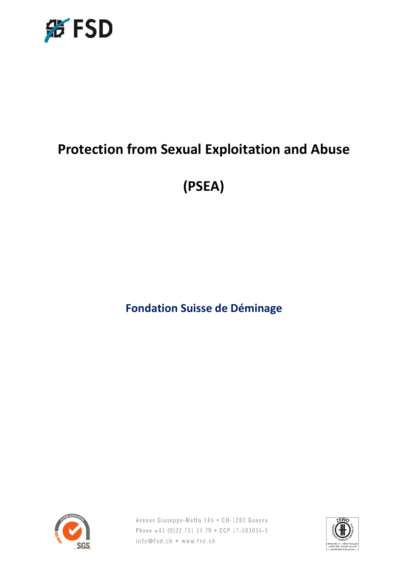

# **Protection from Sexual Exploitation and Abuse**

# **(PSEA)**

## **Fondation Suisse de Déminage**



Avenue Giuseppe-Motta 14b • CH-1202 Geneva Phone +41 (0)22 731 14 79 • CCP 17-503036-5 info@fsd.ch • www.fsd.ch

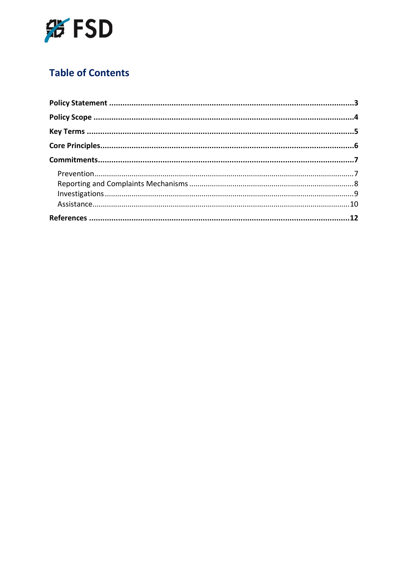

## **Table of Contents**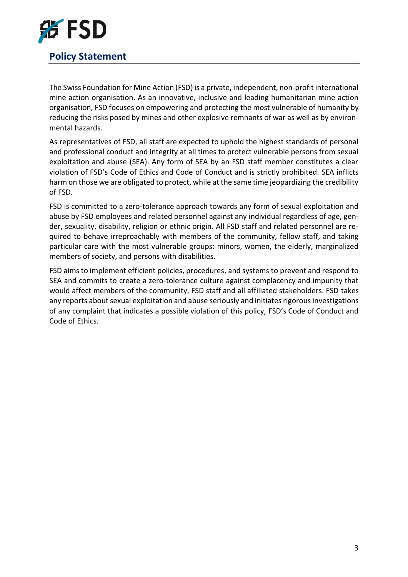

### <span id="page-2-0"></span>**Policy Statement**

The Swiss Foundation for Mine Action (FSD) is a private, independent, non-profit international mine action organisation. As an innovative, inclusive and leading humanitarian mine action organisation, FSD focuses on empowering and protecting the most vulnerable of humanity by reducing the risks posed by mines and other explosive remnants of war as well as by environmental hazards.

As representatives of FSD, all staff are expected to uphold the highest standards of personal and professional conduct and integrity at all times to protect vulnerable persons from sexual exploitation and abuse (SEA). Any form of SEA by an FSD staff member constitutes a clear violation of FSD's Code of Ethics and Code of Conduct and is strictly prohibited. SEA inflicts harm on those we are obligated to protect, while at the same time jeopardizing the credibility of FSD.

FSD is committed to a zero-tolerance approach towards any form of sexual exploitation and abuse by FSD employees and related personnel against any individual regardless of age, gender, sexuality, disability, religion or ethnic origin. All FSD staff and related personnel are required to behave irreproachably with members of the community, fellow staff, and taking particular care with the most vulnerable groups: minors, women, the elderly, marginalized members of society, and persons with disabilities.

FSD aims to implement efficient policies, procedures, and systems to prevent and respond to SEA and commits to create a zero-tolerance culture against complacency and impunity that would affect members of the community, FSD staff and all affiliated stakeholders. FSD takes any reports about sexual exploitation and abuse seriously and initiates rigorous investigations of any complaint that indicates a possible violation of this policy, FSD's Code of Conduct and Code of Ethics.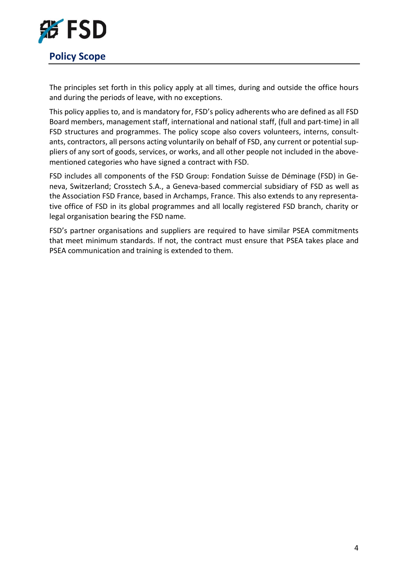

<span id="page-3-0"></span>The principles set forth in this policy apply at all times, during and outside the office hours and during the periods of leave, with no exceptions.

This policy applies to, and is mandatory for, FSD's policy adherents who are defined as all FSD Board members, management staff, international and national staff, (full and part-time) in all FSD structures and programmes. The policy scope also covers volunteers, interns, consultants, contractors, all persons acting voluntarily on behalf of FSD, any current or potential suppliers of any sort of goods, services, or works, and all other people not included in the abovementioned categories who have signed a contract with FSD.

FSD includes all components of the FSD Group: Fondation Suisse de Déminage (FSD) in Geneva, Switzerland; Crosstech S.A., a Geneva-based commercial subsidiary of FSD as well as the Association FSD France, based in Archamps, France. This also extends to any representative office of FSD in its global programmes and all locally registered FSD branch, charity or legal organisation bearing the FSD name.

FSD's partner organisations and suppliers are required to have similar PSEA commitments that meet minimum standards. If not, the contract must ensure that PSEA takes place and PSEA communication and training is extended to them.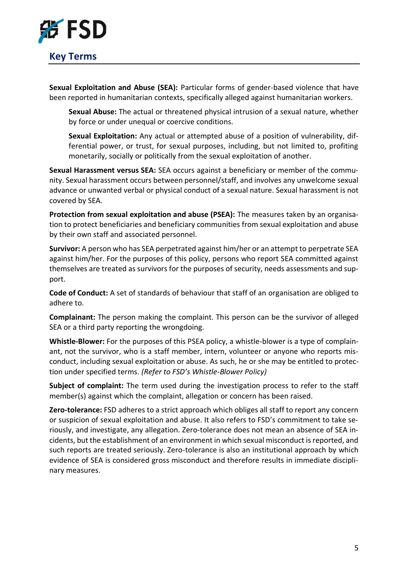

<span id="page-4-0"></span>**Sexual Exploitation and Abuse (SEA):** Particular forms of gender-based violence that have been reported in humanitarian contexts, specifically alleged against humanitarian workers.

**Sexual Abuse:** The actual or threatened physical intrusion of a sexual nature, whether by force or under unequal or coercive conditions.

**Sexual Exploitation:** Any actual or attempted abuse of a position of vulnerability, differential power, or trust, for sexual purposes, including, but not limited to, profiting monetarily, socially or politically from the sexual exploitation of another.

**Sexual Harassment versus SEA:** SEA occurs against a beneficiary or member of the community. Sexual harassment occurs between personnel/staff, and involves any unwelcome sexual advance or unwanted verbal or physical conduct of a sexual nature. Sexual harassment is not covered by SEA.

**Protection from sexual exploitation and abuse (PSEA):** The measures taken by an organisation to protect beneficiaries and beneficiary communities from sexual exploitation and abuse by their own staff and associated personnel.

**Survivor:** A person who has SEA perpetrated against him/her or an attempt to perpetrate SEA against him/her. For the purposes of this policy, persons who report SEA committed against themselves are treated as survivors for the purposes of security, needs assessments and support.

**Code of Conduct:** A set of standards of behaviour that staff of an organisation are obliged to adhere to.

**Complainant:** The person making the complaint. This person can be the survivor of alleged SEA or a third party reporting the wrongdoing.

**Whistle-Blower:** For the purposes of this PSEA policy, a whistle-blower is a type of complainant, not the survivor, who is a staff member, intern, volunteer or anyone who reports misconduct, including sexual exploitation or abuse. As such, he or she may be entitled to protection under specified terms. *(Refer to FSD's Whistle-Blower Policy)*

**Subject of complaint:** The term used during the investigation process to refer to the staff member(s) against which the complaint, allegation or concern has been raised.

**Zero-tolerance:** FSD adheres to a strict approach which obliges all staff to report any concern or suspicion of sexual exploitation and abuse. It also refers to FSD's commitment to take seriously, and investigate, any allegation. Zero-tolerance does not mean an absence of SEA incidents, but the establishment of an environment in which sexual misconduct is reported, and such reports are treated seriously. Zero-tolerance is also an institutional approach by which evidence of SEA is considered gross misconduct and therefore results in immediate disciplinary measures.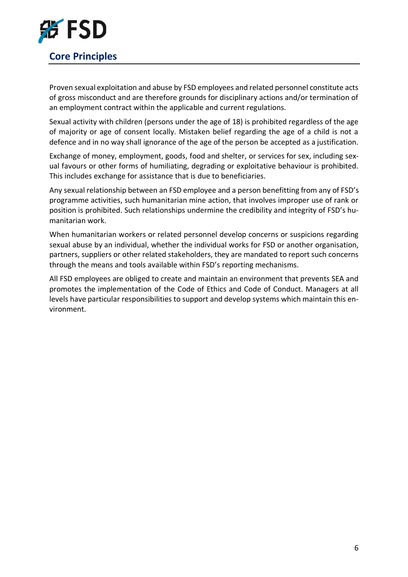

<span id="page-5-0"></span>Proven sexual exploitation and abuse by FSD employees and related personnel constitute acts of gross misconduct and are therefore grounds for disciplinary actions and/or termination of an employment contract within the applicable and current regulations.

Sexual activity with children (persons under the age of 18) is prohibited regardless of the age of majority or age of consent locally. Mistaken belief regarding the age of a child is not a defence and in no way shall ignorance of the age of the person be accepted as a justification.

Exchange of money, employment, goods, food and shelter, or services for sex, including sexual favours or other forms of humiliating, degrading or exploitative behaviour is prohibited. This includes exchange for assistance that is due to beneficiaries.

Any sexual relationship between an FSD employee and a person benefitting from any of FSD's programme activities, such humanitarian mine action, that involves improper use of rank or position is prohibited. Such relationships undermine the credibility and integrity of FSD's humanitarian work.

When humanitarian workers or related personnel develop concerns or suspicions regarding sexual abuse by an individual, whether the individual works for FSD or another organisation, partners, suppliers or other related stakeholders, they are mandated to report such concerns through the means and tools available within FSD's reporting mechanisms.

All FSD employees are obliged to create and maintain an environment that prevents SEA and promotes the implementation of the Code of Ethics and Code of Conduct. Managers at all levels have particular responsibilities to support and develop systems which maintain this environment.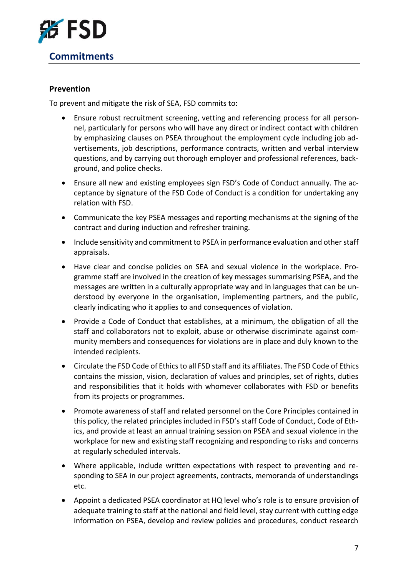

#### <span id="page-6-1"></span><span id="page-6-0"></span>**Prevention**

To prevent and mitigate the risk of SEA, FSD commits to:

- Ensure robust recruitment screening, vetting and referencing process for all personnel, particularly for persons who will have any direct or indirect contact with children by emphasizing clauses on PSEA throughout the employment cycle including job advertisements, job descriptions, performance contracts, written and verbal interview questions, and by carrying out thorough employer and professional references, background, and police checks.
- Ensure all new and existing employees sign FSD's Code of Conduct annually. The acceptance by signature of the FSD Code of Conduct is a condition for undertaking any relation with FSD.
- Communicate the key PSEA messages and reporting mechanisms at the signing of the contract and during induction and refresher training.
- Include sensitivity and commitment to PSEA in performance evaluation and other staff appraisals.
- Have clear and concise policies on SEA and sexual violence in the workplace. Programme staff are involved in the creation of key messages summarising PSEA, and the messages are written in a culturally appropriate way and in languages that can be understood by everyone in the organisation, implementing partners, and the public, clearly indicating who it applies to and consequences of violation.
- Provide a Code of Conduct that establishes, at a minimum, the obligation of all the staff and collaborators not to exploit, abuse or otherwise discriminate against community members and consequences for violations are in place and duly known to the intended recipients.
- Circulate the FSD Code of Ethics to all FSD staff and its affiliates. The FSD Code of Ethics contains the mission, vision, declaration of values and principles, set of rights, duties and responsibilities that it holds with whomever collaborates with FSD or benefits from its projects or programmes.
- Promote awareness of staff and related personnel on the Core Principles contained in this policy, the related principles included in FSD's staff Code of Conduct, Code of Ethics, and provide at least an annual training session on PSEA and sexual violence in the workplace for new and existing staff recognizing and responding to risks and concerns at regularly scheduled intervals.
- Where applicable, include written expectations with respect to preventing and responding to SEA in our project agreements, contracts, memoranda of understandings etc.
- Appoint a dedicated PSEA coordinator at HQ level who's role is to ensure provision of adequate training to staff at the national and field level, stay current with cutting edge information on PSEA, develop and review policies and procedures, conduct research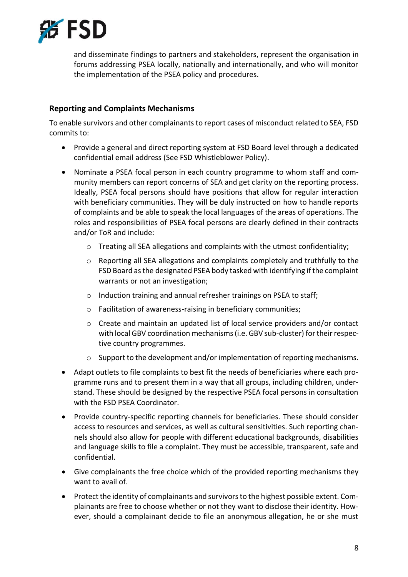

and disseminate findings to partners and stakeholders, represent the organisation in forums addressing PSEA locally, nationally and internationally, and who will monitor the implementation of the PSEA policy and procedures.

#### <span id="page-7-0"></span>**Reporting and Complaints Mechanisms**

To enable survivors and other complainants to report cases of misconduct related to SEA, FSD commits to:

- Provide a general and direct reporting system at FSD Board level through a dedicated confidential email address (See FSD Whistleblower Policy).
- Nominate a PSEA focal person in each country programme to whom staff and community members can report concerns of SEA and get clarity on the reporting process. Ideally, PSEA focal persons should have positions that allow for regular interaction with beneficiary communities. They will be duly instructed on how to handle reports of complaints and be able to speak the local languages of the areas of operations. The roles and responsibilities of PSEA focal persons are clearly defined in their contracts and/or ToR and include:
	- o Treating all SEA allegations and complaints with the utmost confidentiality;
	- $\circ$  Reporting all SEA allegations and complaints completely and truthfully to the FSD Board as the designated PSEA body tasked with identifying if the complaint warrants or not an investigation;
	- o Induction training and annual refresher trainings on PSEA to staff;
	- o Facilitation of awareness-raising in beneficiary communities;
	- o Create and maintain an updated list of local service providers and/or contact with local GBV coordination mechanisms (i.e. GBV sub-cluster) for their respective country programmes.
	- $\circ$  Support to the development and/or implementation of reporting mechanisms.
- Adapt outlets to file complaints to best fit the needs of beneficiaries where each programme runs and to present them in a way that all groups, including children, understand. These should be designed by the respective PSEA focal persons in consultation with the FSD PSEA Coordinator.
- Provide country-specific reporting channels for beneficiaries. These should consider access to resources and services, as well as cultural sensitivities. Such reporting channels should also allow for people with different educational backgrounds, disabilities and language skills to file a complaint. They must be accessible, transparent, safe and confidential.
- Give complainants the free choice which of the provided reporting mechanisms they want to avail of.
- Protect the identity of complainants and survivors to the highest possible extent. Complainants are free to choose whether or not they want to disclose their identity. However, should a complainant decide to file an anonymous allegation, he or she must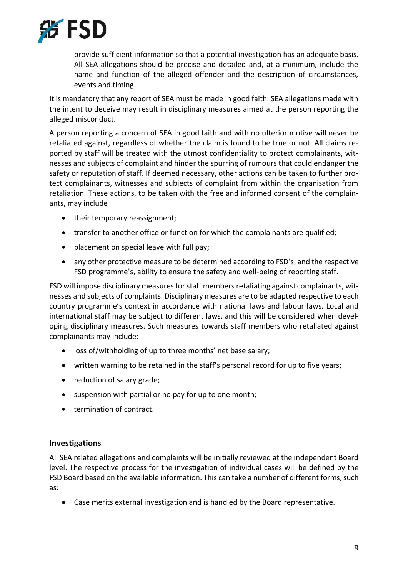

provide sufficient information so that a potential investigation has an adequate basis. All SEA allegations should be precise and detailed and, at a minimum, include the name and function of the alleged offender and the description of circumstances, events and timing.

It is mandatory that any report of SEA must be made in good faith. SEA allegations made with the intent to deceive may result in disciplinary measures aimed at the person reporting the alleged misconduct.

A person reporting a concern of SEA in good faith and with no ulterior motive will never be retaliated against, regardless of whether the claim is found to be true or not. All claims reported by staff will be treated with the utmost confidentiality to protect complainants, witnesses and subjects of complaint and hinder the spurring of rumours that could endanger the safety or reputation of staff. If deemed necessary, other actions can be taken to further protect complainants, witnesses and subjects of complaint from within the organisation from retaliation. These actions, to be taken with the free and informed consent of the complainants, may include

- their temporary reassignment;
- transfer to another office or function for which the complainants are qualified;
- placement on special leave with full pay;
- any other protective measure to be determined according to FSD's, and the respective FSD programme's, ability to ensure the safety and well-being of reporting staff.

FSD will impose disciplinary measures for staff members retaliating against complainants, witnesses and subjects of complaints. Disciplinary measures are to be adapted respective to each country programme's context in accordance with national laws and labour laws. Local and international staff may be subject to different laws, and this will be considered when developing disciplinary measures. Such measures towards staff members who retaliated against complainants may include:

- loss of/withholding of up to three months' net base salary;
- written warning to be retained in the staff's personal record for up to five years;
- reduction of salary grade;
- suspension with partial or no pay for up to one month;
- termination of contract.

#### <span id="page-8-0"></span>**Investigations**

All SEA related allegations and complaints will be initially reviewed at the independent Board level. The respective process for the investigation of individual cases will be defined by the FSD Board based on the available information. This can take a number of different forms, such as:

• Case merits external investigation and is handled by the Board representative.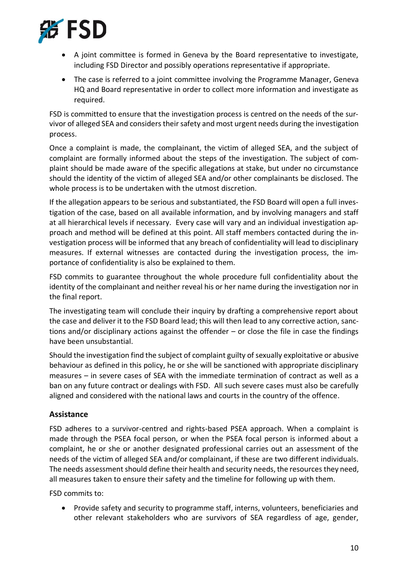

- A joint committee is formed in Geneva by the Board representative to investigate, including FSD Director and possibly operations representative if appropriate.
- The case is referred to a joint committee involving the Programme Manager, Geneva HQ and Board representative in order to collect more information and investigate as required.

FSD is committed to ensure that the investigation process is centred on the needs of the survivor of alleged SEA and considers their safety and most urgent needs during the investigation process.

Once a complaint is made, the complainant, the victim of alleged SEA, and the subject of complaint are formally informed about the steps of the investigation. The subject of complaint should be made aware of the specific allegations at stake, but under no circumstance should the identity of the victim of alleged SEA and/or other complainants be disclosed. The whole process is to be undertaken with the utmost discretion.

If the allegation appears to be serious and substantiated, the FSD Board will open a full investigation of the case, based on all available information, and by involving managers and staff at all hierarchical levels if necessary. Every case will vary and an individual investigation approach and method will be defined at this point. All staff members contacted during the investigation process will be informed that any breach of confidentiality will lead to disciplinary measures. If external witnesses are contacted during the investigation process, the importance of confidentiality is also be explained to them.

FSD commits to guarantee throughout the whole procedure full confidentiality about the identity of the complainant and neither reveal his or her name during the investigation nor in the final report.

The investigating team will conclude their inquiry by drafting a comprehensive report about the case and deliver it to the FSD Board lead; this will then lead to any corrective action, sanctions and/or disciplinary actions against the offender – or close the file in case the findings have been unsubstantial.

Should the investigation find the subject of complaint guilty of sexually exploitative or abusive behaviour as defined in this policy, he or she will be sanctioned with appropriate disciplinary measures – in severe cases of SEA with the immediate termination of contract as well as a ban on any future contract or dealings with FSD. All such severe cases must also be carefully aligned and considered with the national laws and courts in the country of the offence.

#### <span id="page-9-0"></span>**Assistance**

FSD adheres to a survivor-centred and rights-based PSEA approach. When a complaint is made through the PSEA focal person, or when the PSEA focal person is informed about a complaint, he or she or another designated professional carries out an assessment of the needs of the victim of alleged SEA and/or complainant, if these are two different individuals. The needs assessment should define their health and security needs, the resources they need, all measures taken to ensure their safety and the timeline for following up with them.

FSD commits to:

• Provide safety and security to programme staff, interns, volunteers, beneficiaries and other relevant stakeholders who are survivors of SEA regardless of age, gender,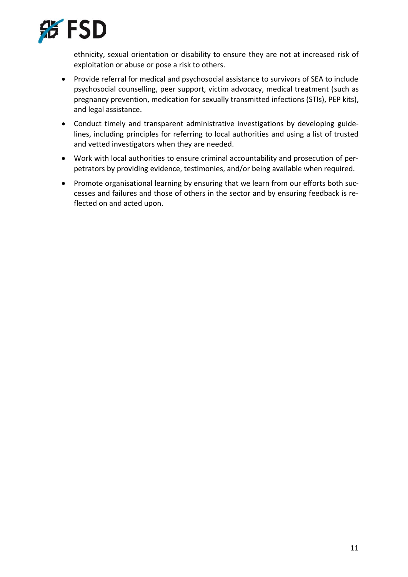

ethnicity, sexual orientation or disability to ensure they are not at increased risk of exploitation or abuse or pose a risk to others.

- Provide referral for medical and psychosocial assistance to survivors of SEA to include psychosocial counselling, peer support, victim advocacy, medical treatment (such as pregnancy prevention, medication for sexually transmitted infections (STIs), PEP kits), and legal assistance.
- Conduct timely and transparent administrative investigations by developing guidelines, including principles for referring to local authorities and using a list of trusted and vetted investigators when they are needed.
- Work with local authorities to ensure criminal accountability and prosecution of perpetrators by providing evidence, testimonies, and/or being available when required.
- Promote organisational learning by ensuring that we learn from our efforts both successes and failures and those of others in the sector and by ensuring feedback is reflected on and acted upon.